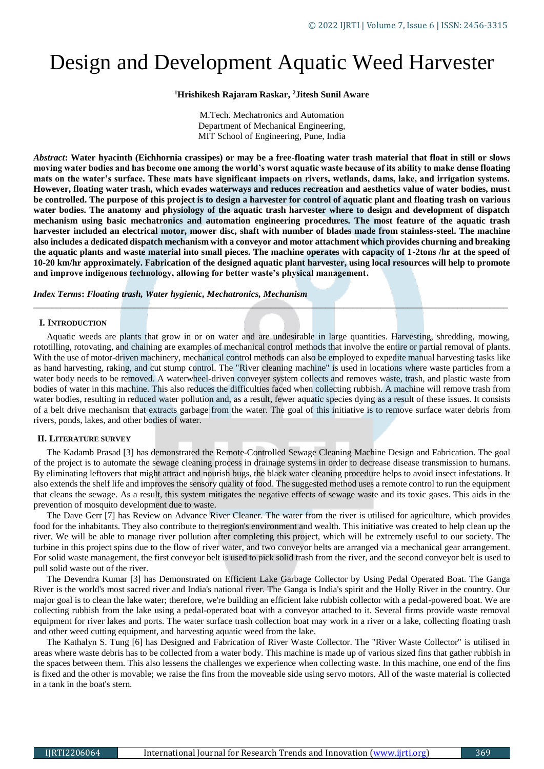# Design and Development Aquatic Weed Harvester

**<sup>1</sup>Hrishikesh Rajaram Raskar, <sup>2</sup>Jitesh Sunil Aware**

M.Tech. Mechatronics and Automation Department of Mechanical Engineering, MIT School of Engineering, Pune, India

*Abstract***: Water hyacinth (Eichhornia crassipes) or may be a free-floating water trash material that float in still or slows moving water bodies and has become one among the world's worst aquatic waste because of its ability to make dense floating mats on the water's surface. These mats have significant impacts on rivers, wetlands, dams, lake, and irrigation systems. However, floating water trash, which evades waterways and reduces recreation and aesthetics value of water bodies, must be controlled. The purpose of this project is to design a harvester for control of aquatic plant and floating trash on various water bodies. The anatomy and physiology of the aquatic trash harvester where to design and development of dispatch mechanism using basic mechatronics and automation engineering procedures. The most feature of the aquatic trash harvester included an electrical motor, mower disc, shaft with number of blades made from stainless-steel. The machine also includes a dedicated dispatch mechanism with a conveyor and motor attachment which provides churning and breaking the aquatic plants and waste material into small pieces. The machine operates with capacity of 1-2tons /hr at the speed of 10-20 km/hr approximately. Fabrication of the designed aquatic plant harvester, using local resources will help to promote and improve indigenous technology, allowing for better waste's physical management.**

*Index Terms***:** *Floating trash, Water hygienic, Mechatronics, Mechanism*

#### **I. INTRODUCTION**

Aquatic weeds are plants that grow in or on water and are undesirable in large quantities. Harvesting, shredding, mowing, rototilling, rotovating, and chaining are examples of mechanical control methods that involve the entire or partial removal of plants. With the use of motor-driven machinery, mechanical control methods can also be employed to expedite manual harvesting tasks like as hand harvesting, raking, and cut stump control. The "River cleaning machine" is used in locations where waste particles from a water body needs to be removed. A waterwheel-driven conveyer system collects and removes waste, trash, and plastic waste from bodies of water in this machine. This also reduces the difficulties faced when collecting rubbish. A machine will remove trash from water bodies, resulting in reduced water pollution and, as a result, fewer aquatic species dying as a result of these issues. It consists of a belt drive mechanism that extracts garbage from the water. The goal of this initiative is to remove surface water debris from rivers, ponds, lakes, and other bodies of water.

*\_\_\_\_\_\_\_\_\_\_\_\_\_\_\_\_\_\_\_\_\_\_\_\_\_\_\_\_\_\_\_\_\_\_\_\_\_\_\_\_\_\_\_\_\_\_\_\_\_\_\_\_\_\_\_\_\_\_\_\_\_\_\_\_\_\_\_\_\_\_\_\_\_\_\_\_\_\_\_\_\_\_\_\_\_\_\_\_\_\_\_\_\_\_\_\_\_\_\_\_\_\_\_\_*

#### **II. LITERATURE SURVEY**

The Kadamb Prasad [3] has demonstrated the Remote-Controlled Sewage Cleaning Machine Design and Fabrication. The goal of the project is to automate the sewage cleaning process in drainage systems in order to decrease disease transmission to humans. By eliminating leftovers that might attract and nourish bugs, the black water cleaning procedure helps to avoid insect infestations. It also extends the shelf life and improves the sensory quality of food. The suggested method uses a remote control to run the equipment that cleans the sewage. As a result, this system mitigates the negative effects of sewage waste and its toxic gases. This aids in the prevention of mosquito development due to waste.

The Dave Gerr [7] has Review on Advance River Cleaner. The water from the river is utilised for agriculture, which provides food for the inhabitants. They also contribute to the region's environment and wealth. This initiative was created to help clean up the river. We will be able to manage river pollution after completing this project, which will be extremely useful to our society. The turbine in this project spins due to the flow of river water, and two conveyor belts are arranged via a mechanical gear arrangement. For solid waste management, the first conveyor belt is used to pick solid trash from the river, and the second conveyor belt is used to pull solid waste out of the river.

The Devendra Kumar [3] has Demonstrated on Efficient Lake Garbage Collector by Using Pedal Operated Boat. The Ganga River is the world's most sacred river and India's national river. The Ganga is India's spirit and the Holly River in the country. Our major goal is to clean the lake water; therefore, we're building an efficient lake rubbish collector with a pedal-powered boat. We are collecting rubbish from the lake using a pedal-operated boat with a conveyor attached to it. Several firms provide waste removal equipment for river lakes and ports. The water surface trash collection boat may work in a river or a lake, collecting floating trash and other weed cutting equipment, and harvesting aquatic weed from the lake.

The Kathalyn S. Tung [6] has Designed and Fabrication of River Waste Collector. The "River Waste Collector" is utilised in areas where waste debris has to be collected from a water body. This machine is made up of various sized fins that gather rubbish in the spaces between them. This also lessens the challenges we experience when collecting waste. In this machine, one end of the fins is fixed and the other is movable; we raise the fins from the moveable side using servo motors. All of the waste material is collected in a tank in the boat's stern.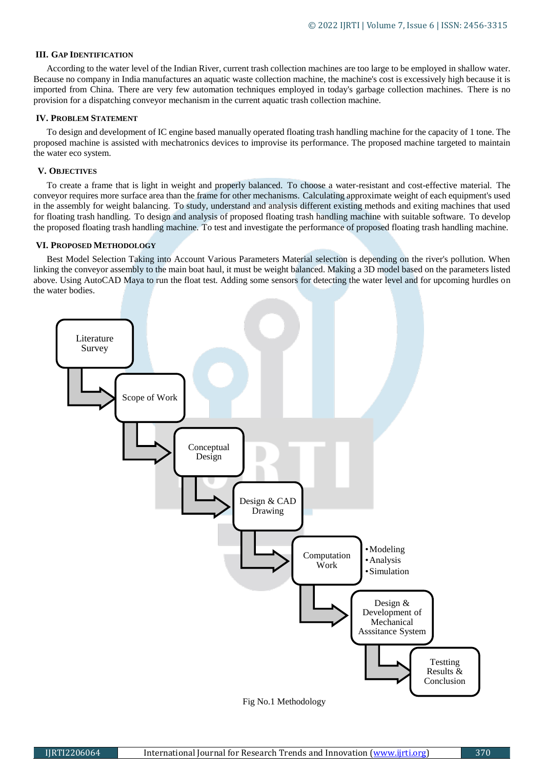#### **III. GAP IDENTIFICATION**

According to the water level of the Indian River, current trash collection machines are too large to be employed in shallow water. Because no company in India manufactures an aquatic waste collection machine, the machine's cost is excessively high because it is imported from China. There are very few automation techniques employed in today's garbage collection machines. There is no provision for a dispatching conveyor mechanism in the current aquatic trash collection machine.

#### **IV. PROBLEM STATEMENT**

To design and development of IC engine based manually operated floating trash handling machine for the capacity of 1 tone. The proposed machine is assisted with mechatronics devices to improvise its performance. The proposed machine targeted to maintain the water eco system.

#### **V. OBJECTIVES**

To create a frame that is light in weight and properly balanced. To choose a water-resistant and cost-effective material. The conveyor requires more surface area than the frame for other mechanisms. Calculating approximate weight of each equipment's used in the assembly for weight balancing. To study, understand and analysis different existing methods and exiting machines that used for floating trash handling. To design and analysis of proposed floating trash handling machine with suitable software. To develop the proposed floating trash handling machine. To test and investigate the performance of proposed floating trash handling machine.

#### **VI. PROPOSED METHODOLOGY**

Best Model Selection Taking into Account Various Parameters Material selection is depending on the river's pollution. When linking the conveyor assembly to the main boat haul, it must be weight balanced. Making a 3D model based on the parameters listed above. Using AutoCAD Maya to run the float test. Adding some sensors for detecting the water level and for upcoming hurdles on the water bodies.



Fig No.1 Methodology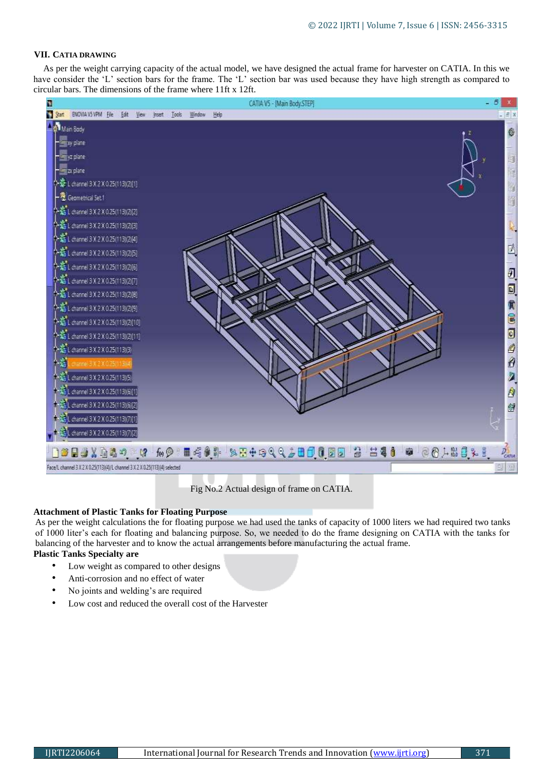#### **VII. CATIA DRAWING**

As per the weight carrying capacity of the actual model, we have designed the actual frame for harvester on CATIA. In this we have consider the 'L' section bars for the frame. The 'L' section bar was used because they have high strength as compared to circular bars. The dimensions of the frame where 11ft x 12ft.



Fig No.2 Actual design of frame on CATIA.

#### **Attachment of Plastic Tanks for Floating Purpose**

As per the weight calculations the for floating purpose we had used the tanks of capacity of 1000 liters we had required two tanks of 1000 liter's each for floating and balancing purpose. So, we needed to do the frame designing on CATIA with the tanks for balancing of the harvester and to know the actual arrangements before manufacturing the actual frame.

## **Plastic Tanks Specialty are**

- Low weight as compared to other designs
- Anti-corrosion and no effect of water
- No joints and welding's are required
- Low cost and reduced the overall cost of the Harvester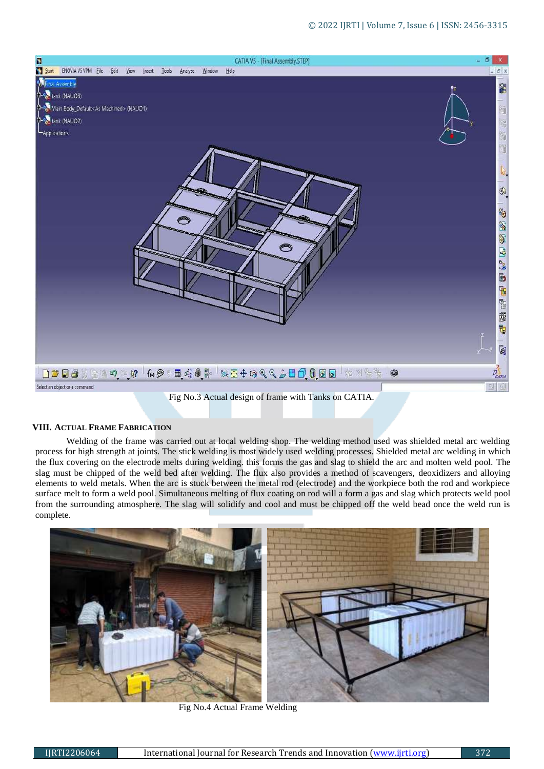

# Fig No.3 Actual design of frame with Tanks on CATIA.

# **VIII. ACTUAL FRAME FABRICATION**

Welding of the frame was carried out at local welding shop. The welding method used was shielded metal arc welding process for high strength at joints. The stick welding is most widely used welding processes. Shielded metal arc welding in which the flux covering on the electrode melts during welding. this forms the gas and slag to shield the arc and molten weld pool. The slag must be chipped of the weld bed after welding. The flux also provides a method of scavengers, deoxidizers and alloying elements to weld metals. When the arc is stuck between the metal rod (electrode) and the workpiece both the rod and workpiece surface melt to form a weld pool. Simultaneous melting of flux coating on rod will a form a gas and slag which protects weld pool from the surrounding atmosphere. The slag will solidify and cool and must be chipped off the weld bead once the weld run is complete.



Fig No.4 Actual Frame Welding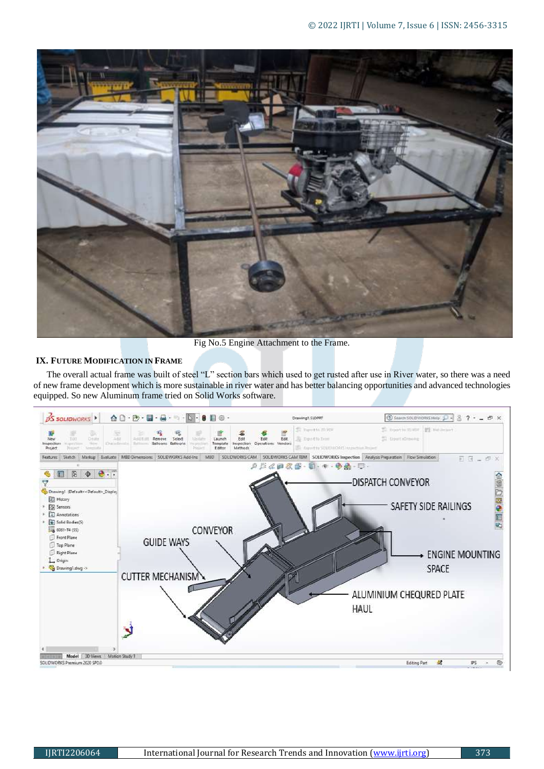

Fig No.5 Engine Attachment to the Frame.

## **IX. FUTURE MODIFICATION IN FRAME**

The overall actual frame was built of steel "L" section bars which used to get rusted after use in River water, so there was a need of new frame development which is more sustainable in river water and has better balancing opportunities and advanced technologies equipped. So new Aluminum frame tried on Solid Works software.